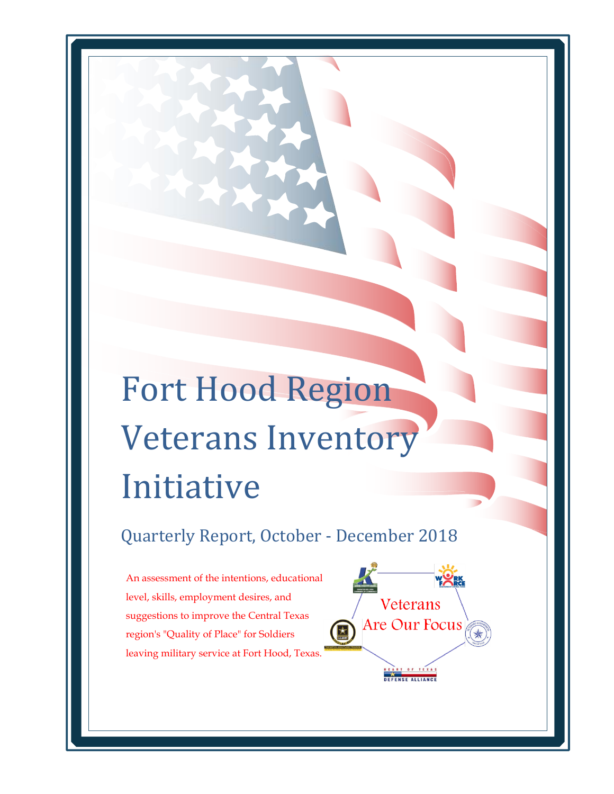# Fort Hood Region Veterans Inventory Initiative

Quarterly Report, October - December 2018

Veterans

Are Our Focus

An assessment of the intentions, educational level, skills, employment desires, and suggestions to improve the Central Texas region's "Quality of Place" for Soldiers leaving military service at Fort Hood, Texas.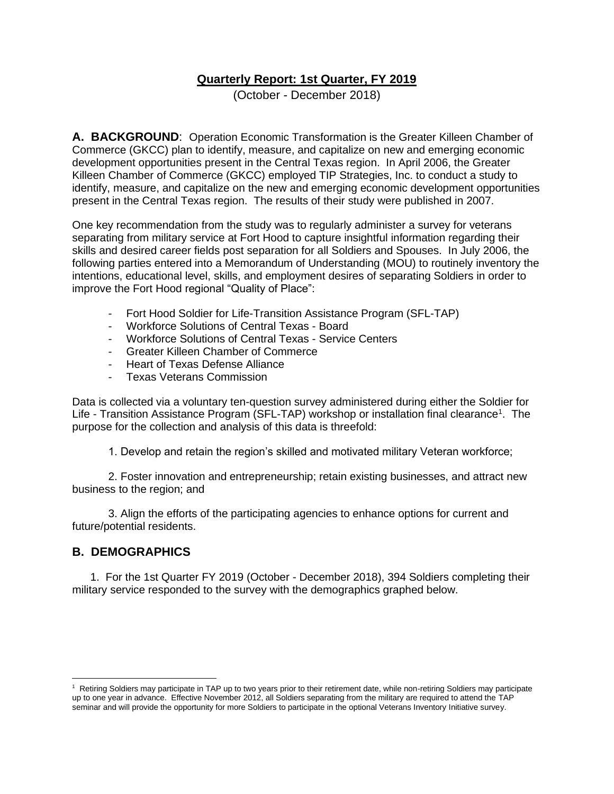#### **Quarterly Report: 1st Quarter, FY 2019**

(October - December 2018)

**A. BACKGROUND**: Operation Economic Transformation is the Greater Killeen Chamber of Commerce (GKCC) plan to identify, measure, and capitalize on new and emerging economic development opportunities present in the Central Texas region. In April 2006, the Greater Killeen Chamber of Commerce (GKCC) employed TIP Strategies, Inc. to conduct a study to identify, measure, and capitalize on the new and emerging economic development opportunities present in the Central Texas region. The results of their study were published in 2007.

One key recommendation from the study was to regularly administer a survey for veterans separating from military service at Fort Hood to capture insightful information regarding their skills and desired career fields post separation for all Soldiers and Spouses. In July 2006, the following parties entered into a Memorandum of Understanding (MOU) to routinely inventory the intentions, educational level, skills, and employment desires of separating Soldiers in order to improve the Fort Hood regional "Quality of Place":

- Fort Hood Soldier for Life-Transition Assistance Program (SFL-TAP)
- Workforce Solutions of Central Texas Board
- Workforce Solutions of Central Texas Service Centers
- Greater Killeen Chamber of Commerce
- Heart of Texas Defense Alliance
- Texas Veterans Commission

Data is collected via a voluntary ten-question survey administered during either the Soldier for Life - Transition Assistance Program (SFL-TAP) workshop or installation final clearance<sup>1</sup>. The purpose for the collection and analysis of this data is threefold:

1. Develop and retain the region's skilled and motivated military Veteran workforce;

2. Foster innovation and entrepreneurship; retain existing businesses, and attract new business to the region; and

3. Align the efforts of the participating agencies to enhance options for current and future/potential residents.

#### **B. DEMOGRAPHICS**

1. For the 1st Quarter FY 2019 (October - December 2018), 394 Soldiers completing their military service responded to the survey with the demographics graphed below.

<sup>&</sup>lt;sup>1</sup> Retiring Soldiers may participate in TAP up to two years prior to their retirement date, while non-retiring Soldiers may participate up to one year in advance. Effective November 2012, all Soldiers separating from the military are required to attend the TAP seminar and will provide the opportunity for more Soldiers to participate in the optional Veterans Inventory Initiative survey.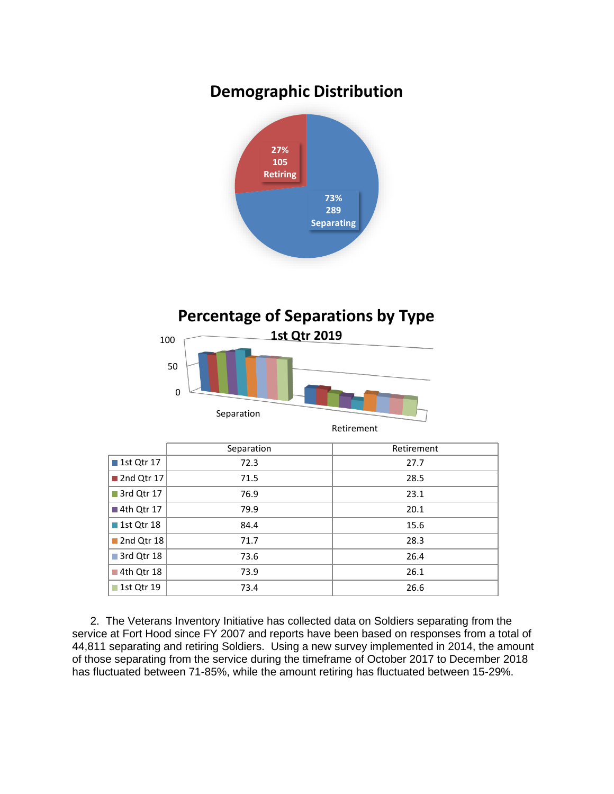### **Demographic Distribution**



#### **Percentage of Separations by Type**



|                           | Separation | Retirement |
|---------------------------|------------|------------|
| ■ 1st Qtr 17              | 72.3       | 27.7       |
| 2nd Qtr 17                | 71.5       | 28.5       |
| 3rd Qtr 17                | 76.9       | 23.1       |
| ■ 4th Qtr 17              | 79.9       | 20.1       |
| ■ 1st Qtr 18              | 84.4       | 15.6       |
| $\blacksquare$ 2nd Qtr 18 | 71.7       | 28.3       |
| 3rd Qtr 18                | 73.6       | 26.4       |
| $\blacksquare$ 4th Qtr 18 | 73.9       | 26.1       |
| ■ 1st Qtr 19              | 73.4       | 26.6       |

2. The Veterans Inventory Initiative has collected data on Soldiers separating from the service at Fort Hood since FY 2007 and reports have been based on responses from a total of 44,811 separating and retiring Soldiers. Using a new survey implemented in 2014, the amount of those separating from the service during the timeframe of October 2017 to December 2018 has fluctuated between 71-85%, while the amount retiring has fluctuated between 15-29%.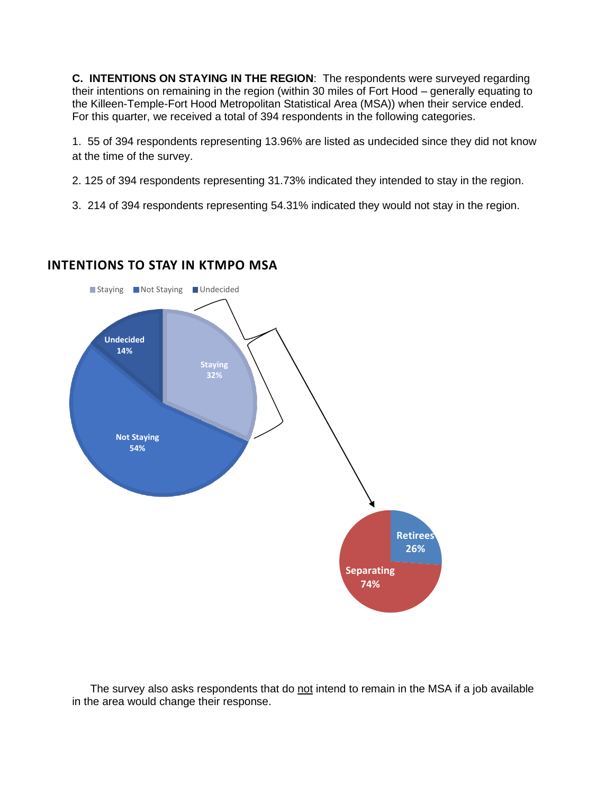**C. INTENTIONS ON STAYING IN THE REGION**: The respondents were surveyed regarding their intentions on remaining in the region (within 30 miles of Fort Hood – generally equating to the Killeen-Temple-Fort Hood Metropolitan Statistical Area (MSA)) when their service ended. For this quarter, we received a total of 394 respondents in the following categories.

1. 55 of 394 respondents representing 13.96% are listed as undecided since they did not know at the time of the survey.

2. 125 of 394 respondents representing 31.73% indicated they intended to stay in the region.

3. 214 of 394 respondents representing 54.31% indicated they would not stay in the region.

## **Retirees 26% Separating 74% Staying 32% Not Staying 54% Undecided 14%** ■ Staying ■ Not Staying ■ Undecided

#### **INTENTIONS TO STAY IN KTMPO MSA**

The survey also asks respondents that do not intend to remain in the MSA if a job available in the area would change their response.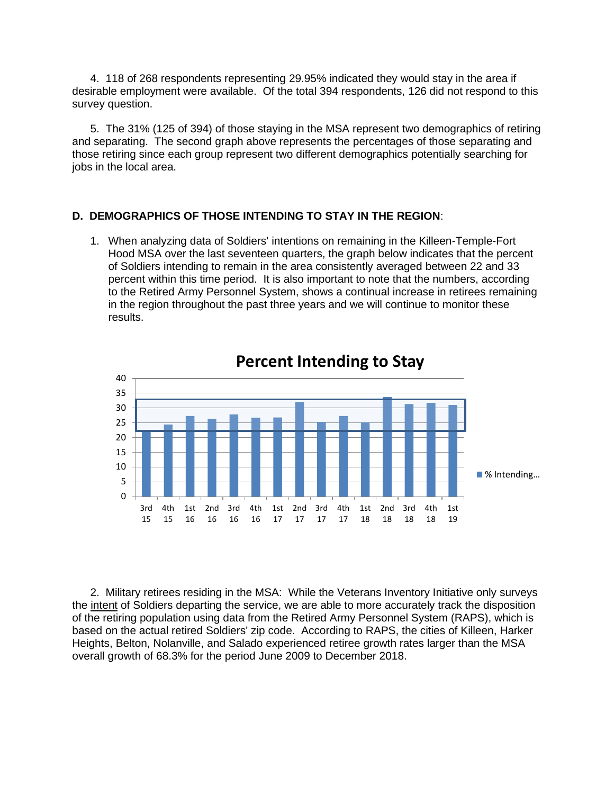4. 118 of 268 respondents representing 29.95% indicated they would stay in the area if desirable employment were available. Of the total 394 respondents, 126 did not respond to this survey question.

5. The 31% (125 of 394) of those staying in the MSA represent two demographics of retiring and separating. The second graph above represents the percentages of those separating and those retiring since each group represent two different demographics potentially searching for jobs in the local area.

#### **D. DEMOGRAPHICS OF THOSE INTENDING TO STAY IN THE REGION**:

1. When analyzing data of Soldiers' intentions on remaining in the Killeen-Temple-Fort Hood MSA over the last seventeen quarters, the graph below indicates that the percent of Soldiers intending to remain in the area consistently averaged between 22 and 33 percent within this time period. It is also important to note that the numbers, according to the Retired Army Personnel System, shows a continual increase in retirees remaining in the region throughout the past three years and we will continue to monitor these results.



2. Military retirees residing in the MSA: While the Veterans Inventory Initiative only surveys the intent of Soldiers departing the service, we are able to more accurately track the disposition of the retiring population using data from the Retired Army Personnel System (RAPS), which is based on the actual retired Soldiers' zip code. According to RAPS, the cities of Killeen, Harker Heights, Belton, Nolanville, and Salado experienced retiree growth rates larger than the MSA overall growth of 68.3% for the period June 2009 to December 2018.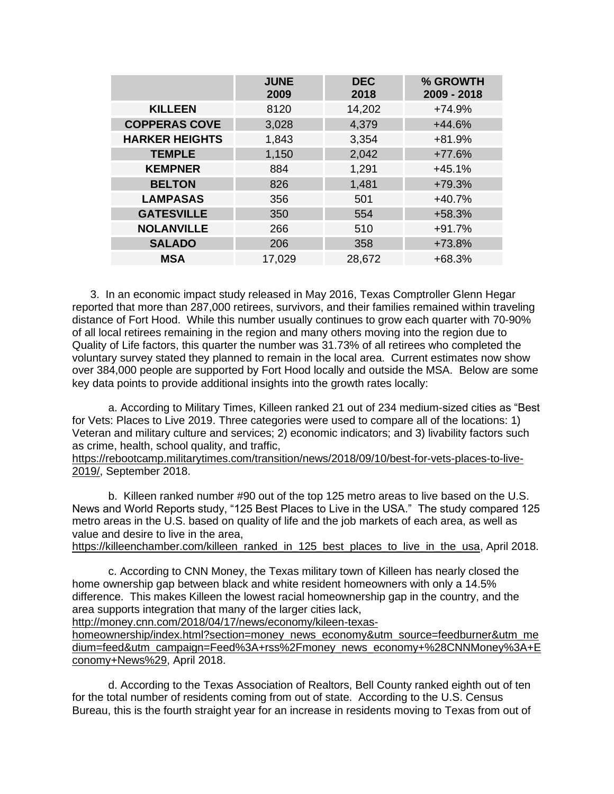|                       | <b>JUNE</b><br>2009 | <b>DEC</b><br>2018 | % GROWTH<br>2009 - 2018 |
|-----------------------|---------------------|--------------------|-------------------------|
| <b>KILLEEN</b>        | 8120                | 14,202             | $+74.9%$                |
| <b>COPPERAS COVE</b>  | 3,028               | 4,379              | $+44.6%$                |
| <b>HARKER HEIGHTS</b> | 1,843               | 3,354              | $+81.9%$                |
| <b>TEMPLE</b>         | 1,150               | 2,042              | $+77.6%$                |
| <b>KEMPNER</b>        | 884                 | 1,291              | $+45.1%$                |
| <b>BELTON</b>         | 826                 | 1,481              | $+79.3%$                |
| <b>LAMPASAS</b>       | 356                 | 501                | $+40.7%$                |
| <b>GATESVILLE</b>     | 350                 | 554                | $+58.3%$                |
| <b>NOLANVILLE</b>     | 266                 | 510                | $+91.7%$                |
| <b>SALADO</b>         | 206                 | 358                | $+73.8%$                |
| <b>MSA</b>            | 17,029              | 28,672             | +68.3%                  |

3. In an economic impact study released in May 2016, Texas Comptroller Glenn Hegar reported that more than 287,000 retirees, survivors, and their families remained within traveling distance of Fort Hood. While this number usually continues to grow each quarter with 70-90% of all local retirees remaining in the region and many others moving into the region due to Quality of Life factors, this quarter the number was 31.73% of all retirees who completed the voluntary survey stated they planned to remain in the local area. Current estimates now show over 384,000 people are supported by Fort Hood locally and outside the MSA. Below are some key data points to provide additional insights into the growth rates locally:

a. According to Military Times, Killeen ranked 21 out of 234 medium-sized cities as "Best for Vets: Places to Live 2019. Three categories were used to compare all of the locations: 1) Veteran and military culture and services; 2) economic indicators; and 3) livability factors such as crime, health, school quality, and traffic,

[https://rebootcamp.militarytimes.com/transition/news/2018/09/10/best-for-vets-places-to-live-](https://rebootcamp.militarytimes.com/transition/news/2018/09/10/best-for-vets-places-to-live-2019/)[2019/,](https://rebootcamp.militarytimes.com/transition/news/2018/09/10/best-for-vets-places-to-live-2019/) September 2018.

b. Killeen ranked number #90 out of the top 125 metro areas to live based on the U.S. News and World Reports study, "125 Best Places to Live in the USA." The study compared 125 metro areas in the U.S. based on quality of life and the job markets of each area, as well as value and desire to live in the area,

[https://killeenchamber.com/killeen\\_ranked\\_in\\_125\\_best\\_places\\_to\\_live\\_in\\_the\\_usa,](https://killeenchamber.com/killeen_ranked_in_125_best_places_to_live_in_the_usa) April 2018.

c. According to CNN Money, the Texas military town of Killeen has nearly closed the home ownership gap between black and white resident homeowners with only a 14.5% difference. This makes Killeen the lowest racial homeownership gap in the country, and the area supports integration that many of the larger cities lack,

[http://money.cnn.com/2018/04/17/news/economy/kileen-texas-](http://money.cnn.com/2018/04/17/news/economy/kileen-texas-homeownership/index.html?section=money_news_economy&utm_source=feedburner&utm_medium=feed&utm_campaign=Feed%3A+rss%2Fmoney_news_economy+%28CNNMoney%3A+Economy+News%29)

[homeownership/index.html?section=money\\_news\\_economy&utm\\_source=feedburner&utm\\_me](http://money.cnn.com/2018/04/17/news/economy/kileen-texas-homeownership/index.html?section=money_news_economy&utm_source=feedburner&utm_medium=feed&utm_campaign=Feed%3A+rss%2Fmoney_news_economy+%28CNNMoney%3A+Economy+News%29) [dium=feed&utm\\_campaign=Feed%3A+rss%2Fmoney\\_news\\_economy+%28CNNMoney%3A+E](http://money.cnn.com/2018/04/17/news/economy/kileen-texas-homeownership/index.html?section=money_news_economy&utm_source=feedburner&utm_medium=feed&utm_campaign=Feed%3A+rss%2Fmoney_news_economy+%28CNNMoney%3A+Economy+News%29) [conomy+News%29,](http://money.cnn.com/2018/04/17/news/economy/kileen-texas-homeownership/index.html?section=money_news_economy&utm_source=feedburner&utm_medium=feed&utm_campaign=Feed%3A+rss%2Fmoney_news_economy+%28CNNMoney%3A+Economy+News%29) April 2018.

d. According to the Texas Association of Realtors, Bell County ranked eighth out of ten for the total number of residents coming from out of state. According to the U.S. Census Bureau, this is the fourth straight year for an increase in residents moving to Texas from out of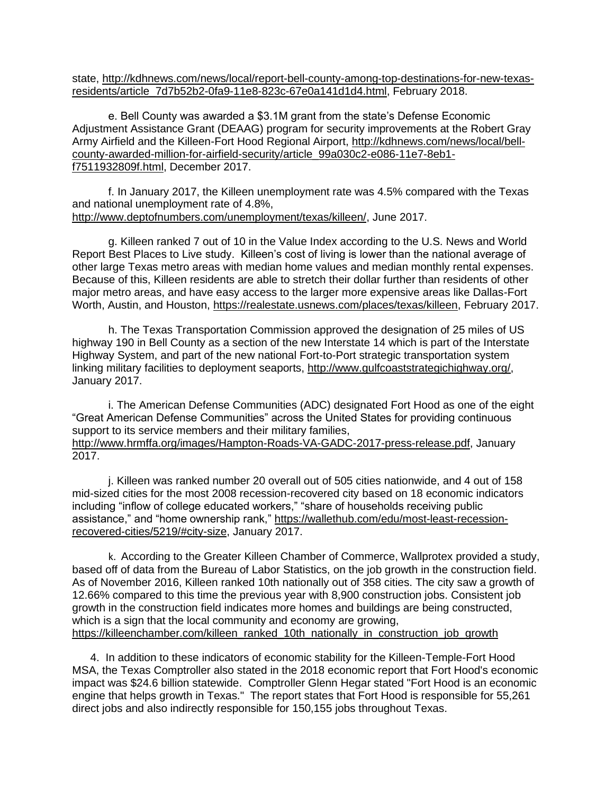state, [http://kdhnews.com/news/local/report-bell-county-among-top-destinations-for-new-texas](http://kdhnews.com/news/local/report-bell-county-among-top-destinations-for-new-texas-residents/article_7d7b52b2-0fa9-11e8-823c-67e0a141d1d4.html)[residents/article\\_7d7b52b2-0fa9-11e8-823c-67e0a141d1d4.html,](http://kdhnews.com/news/local/report-bell-county-among-top-destinations-for-new-texas-residents/article_7d7b52b2-0fa9-11e8-823c-67e0a141d1d4.html) February 2018.

e. Bell County was awarded a \$3.1M grant from the state's Defense Economic Adjustment Assistance Grant (DEAAG) program for security improvements at the Robert Gray Army Airfield and the Killeen-Fort Hood Regional Airport, [http://kdhnews.com/news/local/bell](http://kdhnews.com/news/local/bell-county-awarded-million-for-airfield-security/article_99a030c2-e086-11e7-8eb1-f7511932809f.html)[county-awarded-million-for-airfield-security/article\\_99a030c2-e086-11e7-8eb1](http://kdhnews.com/news/local/bell-county-awarded-million-for-airfield-security/article_99a030c2-e086-11e7-8eb1-f7511932809f.html) [f7511932809f.html,](http://kdhnews.com/news/local/bell-county-awarded-million-for-airfield-security/article_99a030c2-e086-11e7-8eb1-f7511932809f.html) December 2017.

f. In January 2017, the Killeen unemployment rate was 4.5% compared with the Texas and national unemployment rate of 4.8%, [http://www.deptofnumbers.com/unemployment/texas/killeen/,](http://www.deptofnumbers.com/unemployment/texas/killeen/) June 2017.

g. Killeen ranked 7 out of 10 in the Value Index according to the U.S. News and World Report Best Places to Live study. Killeen's cost of living is lower than the national average of other large Texas metro areas with median home values and median monthly rental expenses. Because of this, Killeen residents are able to stretch their dollar further than residents of other major metro areas, and have easy access to the larger more expensive areas like Dallas-Fort Worth, Austin, and Houston, [https://realestate.usnews.com/places/texas/killeen,](https://realestate.usnews.com/places/texas/killeen) February 2017.

h. The Texas Transportation Commission approved the designation of 25 miles of US highway 190 in Bell County as a section of the new Interstate 14 which is part of the Interstate Highway System, and part of the new national Fort-to-Port strategic transportation system linking military facilities to deployment seaports, [http://www.gulfcoaststrategichighway.org/,](http://www.gulfcoaststrategichighway.org/) January 2017.

i. The American Defense Communities (ADC) designated Fort Hood as one of the eight "Great American Defense Communities" across the United States for providing continuous support to its service members and their military families, [http://www.hrmffa.org/images/Hampton-Roads-VA-GADC-2017-press-release.pdf,](http://www.hrmffa.org/images/Hampton-Roads-VA-GADC-2017-press-release.pdf) January 2017.

j. Killeen was ranked number 20 overall out of 505 cities nationwide, and 4 out of 158 mid-sized cities for the most 2008 recession-recovered city based on 18 economic indicators including "inflow of college educated workers," "share of households receiving public assistance," and "home ownership rank," [https://wallethub.com/edu/most-least-recession](https://wallethub.com/edu/most-least-recession-recovered-cities/5219/#city-size)[recovered-cities/5219/#city-size,](https://wallethub.com/edu/most-least-recession-recovered-cities/5219/#city-size) January 2017.

k. According to the Greater Killeen Chamber of Commerce, Wallprotex provided a study, based off of data from the Bureau of Labor Statistics, on the job growth in the construction field. As of November 2016, Killeen ranked 10th nationally out of 358 cities. The city saw a growth of 12.66% compared to this time the previous year with 8,900 construction jobs. Consistent job growth in the construction field indicates more homes and buildings are being constructed, which is a sign that the local community and economy are growing, [https://killeenchamber.com/killeen\\_ranked\\_10th\\_nationally\\_in\\_construction\\_job\\_growth](https://killeenchamber.com/killeen_ranked_10th_nationally_in_construction_job_growth)

4. In addition to these indicators of economic stability for the Killeen-Temple-Fort Hood MSA, the Texas Comptroller also stated in the 2018 economic report that Fort Hood's economic impact was \$24.6 billion statewide. Comptroller Glenn Hegar stated "Fort Hood is an economic engine that helps growth in Texas." The report states that Fort Hood is responsible for 55,261 direct jobs and also indirectly responsible for 150,155 jobs throughout Texas.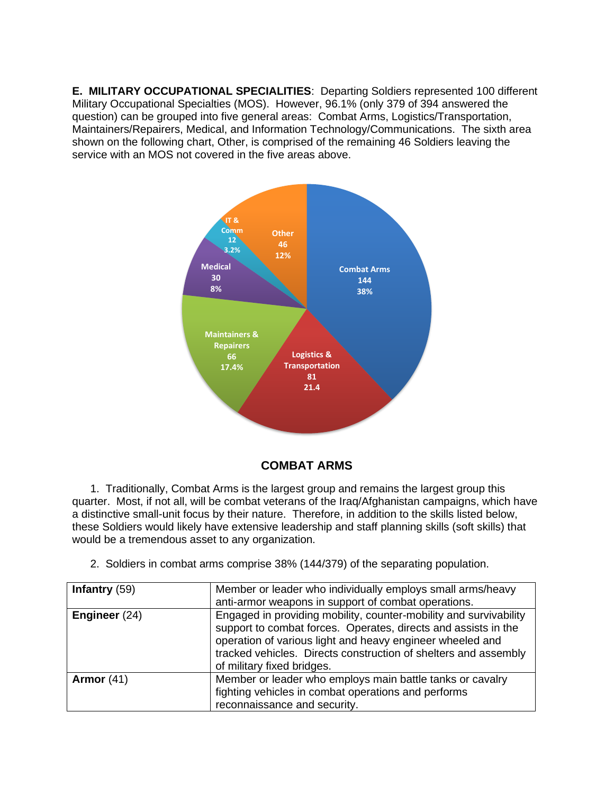**E. MILITARY OCCUPATIONAL SPECIALITIES**: Departing Soldiers represented 100 different Military Occupational Specialties (MOS). However, 96.1% (only 379 of 394 answered the question) can be grouped into five general areas: Combat Arms, Logistics/Transportation, Maintainers/Repairers, Medical, and Information Technology/Communications. The sixth area shown on the following chart, Other, is comprised of the remaining 46 Soldiers leaving the service with an MOS not covered in the five areas above.



#### **COMBAT ARMS**

1. Traditionally, Combat Arms is the largest group and remains the largest group this quarter. Most, if not all, will be combat veterans of the Iraq/Afghanistan campaigns, which have a distinctive small-unit focus by their nature. Therefore, in addition to the skills listed below, these Soldiers would likely have extensive leadership and staff planning skills (soft skills) that would be a tremendous asset to any organization.

2. Soldiers in combat arms comprise 38% (144/379) of the separating population.

| Infantry $(59)$ | Member or leader who individually employs small arms/heavy<br>anti-armor weapons in support of combat operations.                                                                                                                                                                                 |
|-----------------|---------------------------------------------------------------------------------------------------------------------------------------------------------------------------------------------------------------------------------------------------------------------------------------------------|
| Engineer (24)   | Engaged in providing mobility, counter-mobility and survivability<br>support to combat forces. Operates, directs and assists in the<br>operation of various light and heavy engineer wheeled and<br>tracked vehicles. Directs construction of shelters and assembly<br>of military fixed bridges. |
| Armor $(41)$    | Member or leader who employs main battle tanks or cavalry<br>fighting vehicles in combat operations and performs<br>reconnaissance and security.                                                                                                                                                  |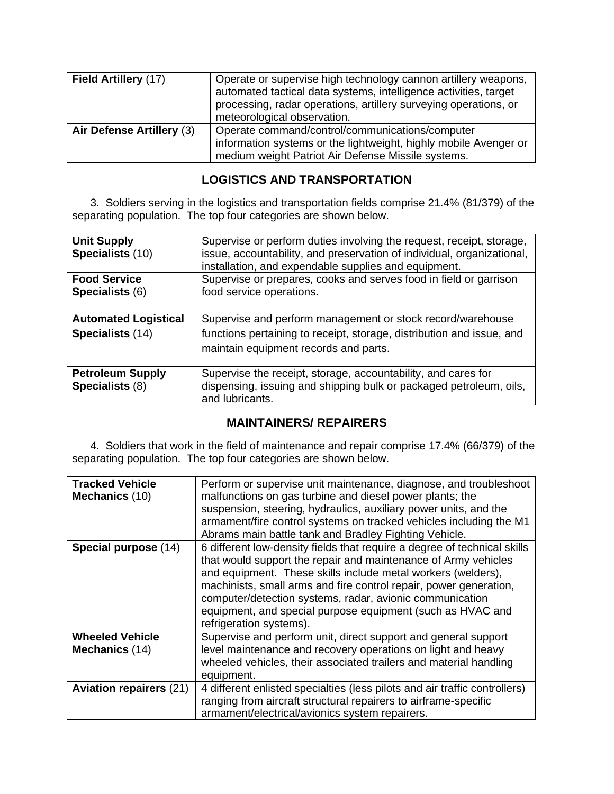| Field Artillery (17)      | Operate or supervise high technology cannon artillery weapons,<br>automated tactical data systems, intelligence activities, target<br>processing, radar operations, artillery surveying operations, or<br>meteorological observation. |
|---------------------------|---------------------------------------------------------------------------------------------------------------------------------------------------------------------------------------------------------------------------------------|
| Air Defense Artillery (3) | Operate command/control/communications/computer<br>information systems or the lightweight, highly mobile Avenger or<br>medium weight Patriot Air Defense Missile systems.                                                             |

#### **LOGISTICS AND TRANSPORTATION**

3. Soldiers serving in the logistics and transportation fields comprise 21.4% (81/379) of the separating population. The top four categories are shown below.

| <b>Unit Supply</b><br>Specialists (10)          | Supervise or perform duties involving the request, receipt, storage,<br>issue, accountability, and preservation of individual, organizational,<br>installation, and expendable supplies and equipment. |
|-------------------------------------------------|--------------------------------------------------------------------------------------------------------------------------------------------------------------------------------------------------------|
| <b>Food Service</b><br><b>Specialists (6)</b>   | Supervise or prepares, cooks and serves food in field or garrison<br>food service operations.                                                                                                          |
| <b>Automated Logistical</b><br>Specialists (14) | Supervise and perform management or stock record/warehouse<br>functions pertaining to receipt, storage, distribution and issue, and<br>maintain equipment records and parts.                           |
| <b>Petroleum Supply</b><br>Specialists (8)      | Supervise the receipt, storage, accountability, and cares for<br>dispensing, issuing and shipping bulk or packaged petroleum, oils,<br>and lubricants.                                                 |

#### **MAINTAINERS/ REPAIRERS**

4. Soldiers that work in the field of maintenance and repair comprise 17.4% (66/379) of the separating population. The top four categories are shown below.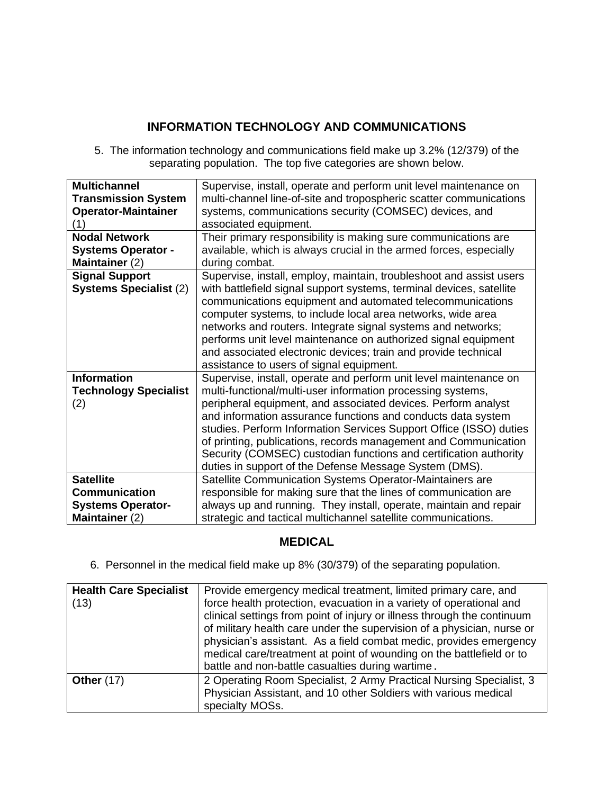#### **INFORMATION TECHNOLOGY AND COMMUNICATIONS**

5. The information technology and communications field make up 3.2% (12/379) of the separating population. The top five categories are shown below.

| <b>Multichannel</b>           | Supervise, install, operate and perform unit level maintenance on    |
|-------------------------------|----------------------------------------------------------------------|
| <b>Transmission System</b>    | multi-channel line-of-site and tropospheric scatter communications   |
| <b>Operator-Maintainer</b>    | systems, communications security (COMSEC) devices, and               |
| (1)                           | associated equipment.                                                |
| <b>Nodal Network</b>          | Their primary responsibility is making sure communications are       |
| <b>Systems Operator -</b>     | available, which is always crucial in the armed forces, especially   |
| Maintainer (2)                | during combat.                                                       |
| <b>Signal Support</b>         | Supervise, install, employ, maintain, troubleshoot and assist users  |
| <b>Systems Specialist (2)</b> | with battlefield signal support systems, terminal devices, satellite |
|                               | communications equipment and automated telecommunications            |
|                               | computer systems, to include local area networks, wide area          |
|                               | networks and routers. Integrate signal systems and networks;         |
|                               | performs unit level maintenance on authorized signal equipment       |
|                               | and associated electronic devices; train and provide technical       |
|                               | assistance to users of signal equipment.                             |
| <b>Information</b>            | Supervise, install, operate and perform unit level maintenance on    |
| <b>Technology Specialist</b>  | multi-functional/multi-user information processing systems,          |
| (2)                           | peripheral equipment, and associated devices. Perform analyst        |
|                               | and information assurance functions and conducts data system         |
|                               | studies. Perform Information Services Support Office (ISSO) duties   |
|                               | of printing, publications, records management and Communication      |
|                               | Security (COMSEC) custodian functions and certification authority    |
|                               | duties in support of the Defense Message System (DMS).               |
| <b>Satellite</b>              | Satellite Communication Systems Operator-Maintainers are             |
| <b>Communication</b>          | responsible for making sure that the lines of communication are      |
| <b>Systems Operator-</b>      | always up and running. They install, operate, maintain and repair    |
| Maintainer (2)                | strategic and tactical multichannel satellite communications.        |

#### **MEDICAL**

6. Personnel in the medical field make up 8% (30/379) of the separating population.

| <b>Health Care Specialist</b><br>(13) | Provide emergency medical treatment, limited primary care, and<br>force health protection, evacuation in a variety of operational and<br>clinical settings from point of injury or illness through the continuum<br>of military health care under the supervision of a physician, nurse or<br>physician's assistant. As a field combat medic, provides emergency<br>medical care/treatment at point of wounding on the battlefield or to<br>battle and non-battle casualties during wartime. |
|---------------------------------------|----------------------------------------------------------------------------------------------------------------------------------------------------------------------------------------------------------------------------------------------------------------------------------------------------------------------------------------------------------------------------------------------------------------------------------------------------------------------------------------------|
| <b>Other (17)</b>                     | 2 Operating Room Specialist, 2 Army Practical Nursing Specialist, 3<br>Physician Assistant, and 10 other Soldiers with various medical<br>specialty MOSs.                                                                                                                                                                                                                                                                                                                                    |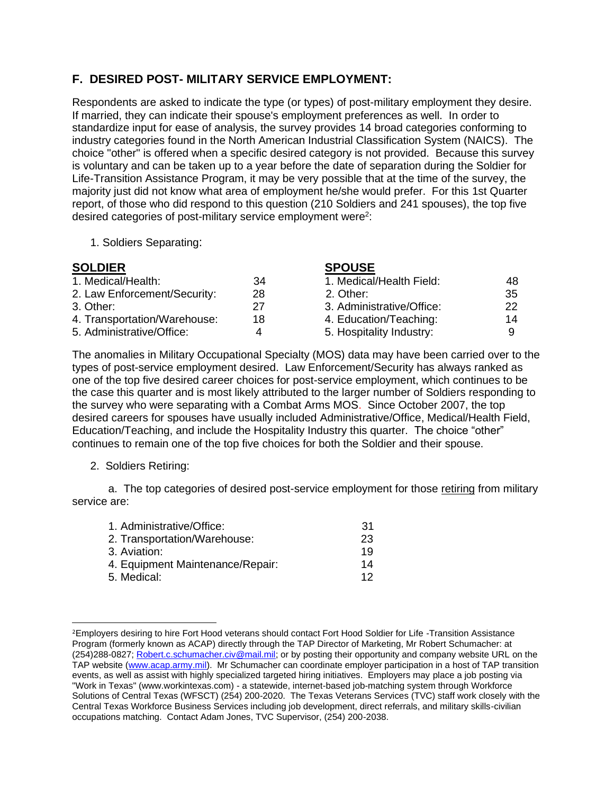#### **F. DESIRED POST- MILITARY SERVICE EMPLOYMENT:**

Respondents are asked to indicate the type (or types) of post-military employment they desire. If married, they can indicate their spouse's employment preferences as well. In order to standardize input for ease of analysis, the survey provides 14 broad categories conforming to industry categories found in the North American Industrial Classification System (NAICS). The choice "other" is offered when a specific desired category is not provided. Because this survey is voluntary and can be taken up to a year before the date of separation during the Soldier for Life-Transition Assistance Program, it may be very possible that at the time of the survey, the majority just did not know what area of employment he/she would prefer. For this 1st Quarter report, of those who did respond to this question (210 Soldiers and 241 spouses), the top five desired categories of post-military service employment were<sup>2</sup>:

1. Soldiers Separating:

| <b>SOLDIER</b>               |    | <b>SPOUSE</b>             |     |
|------------------------------|----|---------------------------|-----|
| 1. Medical/Health:           | 34 | 1. Medical/Health Field:  | 48  |
| 2. Law Enforcement/Security: | 28 | 2. Other:                 | -35 |
| 3. Other:                    | 27 | 3. Administrative/Office: | 22  |
| 4. Transportation/Warehouse: | 18 | 4. Education/Teaching:    | 14  |
| 5. Administrative/Office:    | Δ  | 5. Hospitality Industry:  | 9   |

The anomalies in Military Occupational Specialty (MOS) data may have been carried over to the types of post-service employment desired. Law Enforcement/Security has always ranked as one of the top five desired career choices for post-service employment, which continues to be the case this quarter and is most likely attributed to the larger number of Soldiers responding to the survey who were separating with a Combat Arms MOS. Since October 2007, the top desired careers for spouses have usually included Administrative/Office, Medical/Health Field, Education/Teaching, and include the Hospitality Industry this quarter. The choice "other" continues to remain one of the top five choices for both the Soldier and their spouse.

2. Soldiers Retiring:

a. The top categories of desired post-service employment for those retiring from military service are:

| 1. Administrative/Office:        | .31 |
|----------------------------------|-----|
| 2. Transportation/Warehouse:     | 23  |
| 3. Aviation:                     | 19  |
| 4. Equipment Maintenance/Repair: | 14  |
| 5. Medical:                      | 12  |
|                                  |     |

<sup>&</sup>lt;sup>2</sup>Employers desiring to hire Fort Hood veterans should contact Fort Hood Soldier for Life -Transition Assistance Program (formerly known as ACAP) directly through the TAP Director of Marketing, Mr Robert Schumacher: at (254)288-0827; [Robert.c.schumacher.civ@mail.mil;](mailto:Robert.c.schumacher.civ@mail.mil) or by posting their opportunity and company website URL on the TAP website [\(www.acap.army.mil\)](http://www.acap.army.mil/). Mr Schumacher can coordinate employer participation in a host of TAP transition events, as well as assist with highly specialized targeted hiring initiatives. Employers may place a job posting via "Work in Texas" (www.workintexas.com) - a statewide, internet-based job-matching system through Workforce Solutions of Central Texas (WFSCT) (254) 200-2020. The Texas Veterans Services (TVC) staff work closely with the Central Texas Workforce Business Services including job development, direct referrals, and military skills-civilian occupations matching. Contact Adam Jones, TVC Supervisor, (254) 200-2038.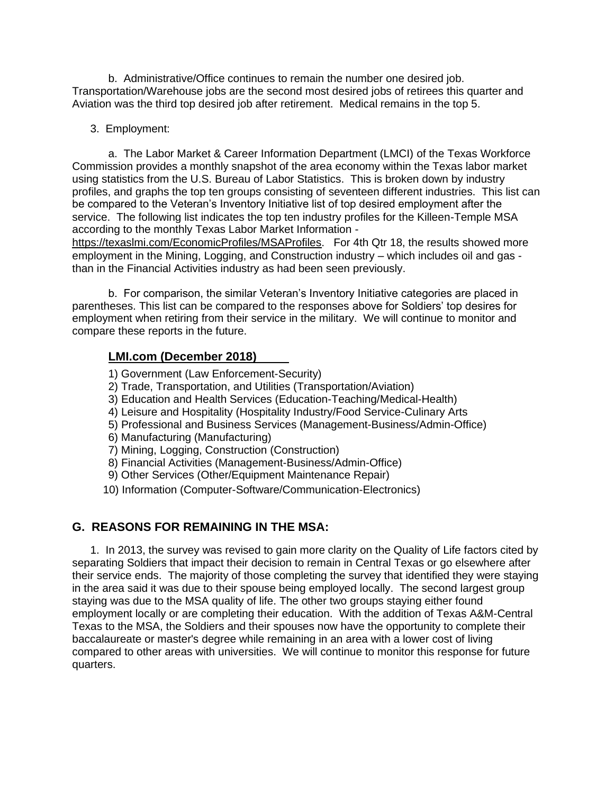b. Administrative/Office continues to remain the number one desired job. Transportation/Warehouse jobs are the second most desired jobs of retirees this quarter and Aviation was the third top desired job after retirement. Medical remains in the top 5.

3. Employment:

a. The Labor Market & Career Information Department (LMCI) of the Texas Workforce Commission provides a monthly snapshot of the area economy within the Texas labor market using statistics from the U.S. Bureau of Labor Statistics. This is broken down by industry profiles, and graphs the top ten groups consisting of seventeen different industries. This list can be compared to the Veteran's Inventory Initiative list of top desired employment after the service. The following list indicates the top ten industry profiles for the Killeen-Temple MSA according to the monthly Texas Labor Market Information -

<https://texaslmi.com/EconomicProfiles/MSAProfiles>. For 4th Qtr 18, the results showed more employment in the Mining, Logging, and Construction industry – which includes oil and gas than in the Financial Activities industry as had been seen previously.

b. For comparison, the similar Veteran's Inventory Initiative categories are placed in parentheses. This list can be compared to the responses above for Soldiers' top desires for employment when retiring from their service in the military. We will continue to monitor and compare these reports in the future.

#### **LMI.com (December 2018)**

- 1) Government (Law Enforcement-Security)
- 2) Trade, Transportation, and Utilities (Transportation/Aviation)
- 3) Education and Health Services (Education-Teaching/Medical-Health)
- 4) Leisure and Hospitality (Hospitality Industry/Food Service-Culinary Arts
- 5) Professional and Business Services (Management-Business/Admin-Office)
- 6) Manufacturing (Manufacturing)
- 7) Mining, Logging, Construction (Construction)
- 8) Financial Activities (Management-Business/Admin-Office)
- 9) Other Services (Other/Equipment Maintenance Repair)
- 10) Information (Computer-Software/Communication-Electronics)

#### **G. REASONS FOR REMAINING IN THE MSA:**

1. In 2013, the survey was revised to gain more clarity on the Quality of Life factors cited by separating Soldiers that impact their decision to remain in Central Texas or go elsewhere after their service ends. The majority of those completing the survey that identified they were staying in the area said it was due to their spouse being employed locally. The second largest group staying was due to the MSA quality of life. The other two groups staying either found employment locally or are completing their education. With the addition of Texas A&M-Central Texas to the MSA, the Soldiers and their spouses now have the opportunity to complete their baccalaureate or master's degree while remaining in an area with a lower cost of living compared to other areas with universities. We will continue to monitor this response for future quarters.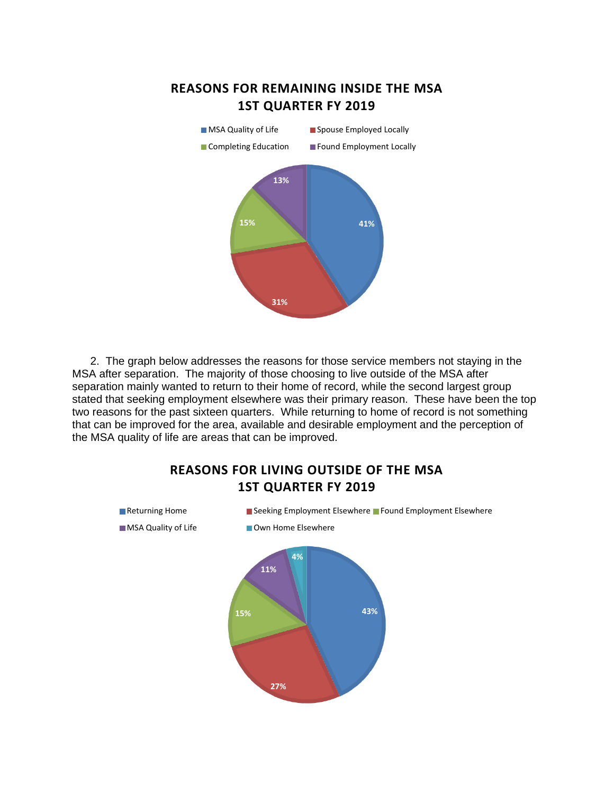



2. The graph below addresses the reasons for those service members not staying in the MSA after separation. The majority of those choosing to live outside of the MSA after separation mainly wanted to return to their home of record, while the second largest group stated that seeking employment elsewhere was their primary reason. These have been the top two reasons for the past sixteen quarters. While returning to home of record is not something that can be improved for the area, available and desirable employment and the perception of the MSA quality of life are areas that can be improved.

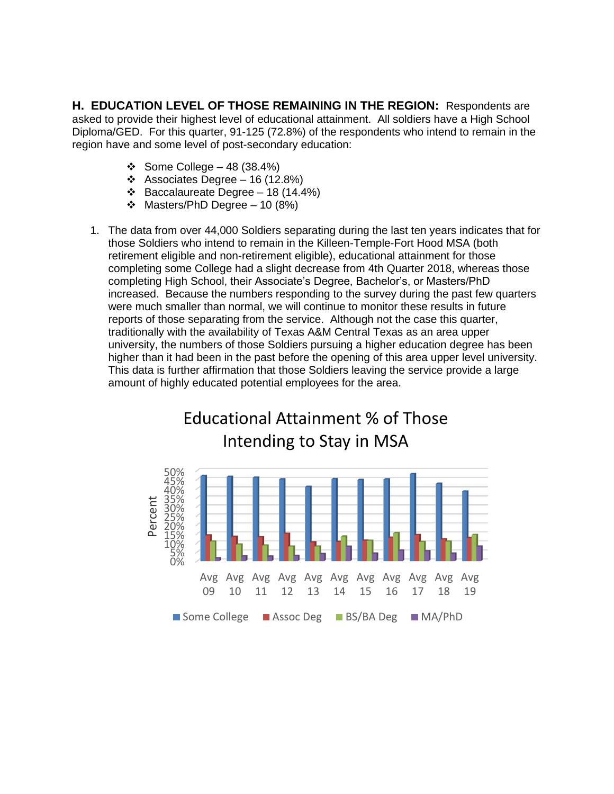**H. EDUCATION LEVEL OF THOSE REMAINING IN THE REGION:** Respondents are asked to provide their highest level of educational attainment. All soldiers have a High School Diploma/GED. For this quarter, 91-125 (72.8%) of the respondents who intend to remain in the region have and some level of post-secondary education:

- ❖ Some College 48 (38.4%)
- ❖ Associates Degree 16 (12.8%)
- ❖ Baccalaureate Degree 18 (14.4%)
- ❖ Masters/PhD Degree 10 (8%)
- 1. The data from over 44,000 Soldiers separating during the last ten years indicates that for those Soldiers who intend to remain in the Killeen-Temple-Fort Hood MSA (both retirement eligible and non-retirement eligible), educational attainment for those completing some College had a slight decrease from 4th Quarter 2018, whereas those completing High School, their Associate's Degree, Bachelor's, or Masters/PhD increased. Because the numbers responding to the survey during the past few quarters were much smaller than normal, we will continue to monitor these results in future reports of those separating from the service. Although not the case this quarter, traditionally with the availability of Texas A&M Central Texas as an area upper university, the numbers of those Soldiers pursuing a higher education degree has been higher than it had been in the past before the opening of this area upper level university. This data is further affirmation that those Soldiers leaving the service provide a large amount of highly educated potential employees for the area.

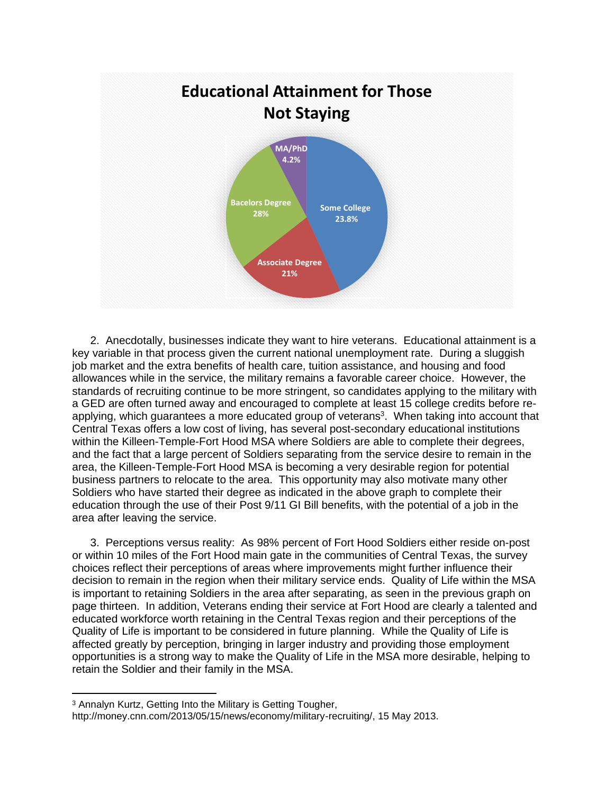

2. Anecdotally, businesses indicate they want to hire veterans. Educational attainment is a key variable in that process given the current national unemployment rate. During a sluggish job market and the extra benefits of health care, tuition assistance, and housing and food allowances while in the service, the military remains a favorable career choice. However, the standards of recruiting continue to be more stringent, so candidates applying to the military with a GED are often turned away and encouraged to complete at least 15 college credits before reapplying, which guarantees a more educated group of veterans<sup>3</sup>. When taking into account that Central Texas offers a low cost of living, has several post-secondary educational institutions within the Killeen-Temple-Fort Hood MSA where Soldiers are able to complete their degrees, and the fact that a large percent of Soldiers separating from the service desire to remain in the area, the Killeen-Temple-Fort Hood MSA is becoming a very desirable region for potential business partners to relocate to the area. This opportunity may also motivate many other Soldiers who have started their degree as indicated in the above graph to complete their education through the use of their Post 9/11 GI Bill benefits, with the potential of a job in the area after leaving the service.

3. Perceptions versus reality: As 98% percent of Fort Hood Soldiers either reside on-post or within 10 miles of the Fort Hood main gate in the communities of Central Texas, the survey choices reflect their perceptions of areas where improvements might further influence their decision to remain in the region when their military service ends. Quality of Life within the MSA is important to retaining Soldiers in the area after separating, as seen in the previous graph on page thirteen. In addition, Veterans ending their service at Fort Hood are clearly a talented and educated workforce worth retaining in the Central Texas region and their perceptions of the Quality of Life is important to be considered in future planning. While the Quality of Life is affected greatly by perception, bringing in larger industry and providing those employment opportunities is a strong way to make the Quality of Life in the MSA more desirable, helping to retain the Soldier and their family in the MSA.

<sup>3</sup> Annalyn Kurtz, Getting Into the Military is Getting Tougher,

http://money.cnn.com/2013/05/15/news/economy/military-recruiting/, 15 May 2013.